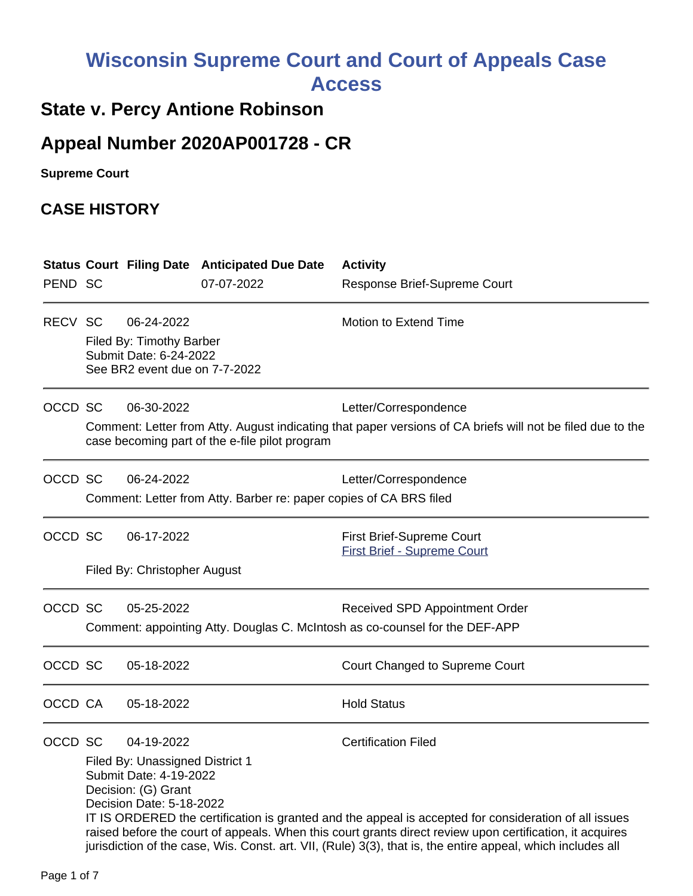# **Wisconsin Supreme Court and Court of Appeals Case Access**

# **State v. Percy Antione Robinson**

# **Appeal Number 2020AP001728 - CR**

**Supreme Court** 

## **CASE HISTORY**

|         |                                                                                                           |                                                                                                                            | <b>Status Court Filing Date Anticipated Due Date</b> | <b>Activity</b>                                                                                                                                                                                                                                                                                                                                                |  |
|---------|-----------------------------------------------------------------------------------------------------------|----------------------------------------------------------------------------------------------------------------------------|------------------------------------------------------|----------------------------------------------------------------------------------------------------------------------------------------------------------------------------------------------------------------------------------------------------------------------------------------------------------------------------------------------------------------|--|
| PEND SC |                                                                                                           |                                                                                                                            | 07-07-2022                                           | Response Brief-Supreme Court                                                                                                                                                                                                                                                                                                                                   |  |
| RECV SC |                                                                                                           | 06-24-2022<br>Filed By: Timothy Barber<br>Submit Date: 6-24-2022<br>See BR2 event due on 7-7-2022                          |                                                      | <b>Motion to Extend Time</b>                                                                                                                                                                                                                                                                                                                                   |  |
| OCCD SC |                                                                                                           | 06-30-2022                                                                                                                 | case becoming part of the e-file pilot program       | Letter/Correspondence<br>Comment: Letter from Atty. August indicating that paper versions of CA briefs will not be filed due to the                                                                                                                                                                                                                            |  |
| OCCD SC | 06-24-2022<br>Letter/Correspondence<br>Comment: Letter from Atty. Barber re: paper copies of CA BRS filed |                                                                                                                            |                                                      |                                                                                                                                                                                                                                                                                                                                                                |  |
| OCCD SC |                                                                                                           | 06-17-2022<br>Filed By: Christopher August                                                                                 |                                                      | <b>First Brief-Supreme Court</b><br><b>First Brief - Supreme Court</b>                                                                                                                                                                                                                                                                                         |  |
| OCCD SC | 05-25-2022<br>Comment: appointing Atty. Douglas C. McIntosh as co-counsel for the DEF-APP                 |                                                                                                                            |                                                      | Received SPD Appointment Order                                                                                                                                                                                                                                                                                                                                 |  |
| OCCD SC |                                                                                                           | 05-18-2022                                                                                                                 |                                                      | Court Changed to Supreme Court                                                                                                                                                                                                                                                                                                                                 |  |
| OCCD CA |                                                                                                           | 05-18-2022                                                                                                                 |                                                      | <b>Hold Status</b>                                                                                                                                                                                                                                                                                                                                             |  |
| OCCD SC |                                                                                                           | 04-19-2022<br>Filed By: Unassigned District 1<br>Submit Date: 4-19-2022<br>Decision: (G) Grant<br>Decision Date: 5-18-2022 |                                                      | <b>Certification Filed</b><br>IT IS ORDERED the certification is granted and the appeal is accepted for consideration of all issues<br>raised before the court of appeals. When this court grants direct review upon certification, it acquires<br>jurisdiction of the case, Wis. Const. art. VII, (Rule) 3(3), that is, the entire appeal, which includes all |  |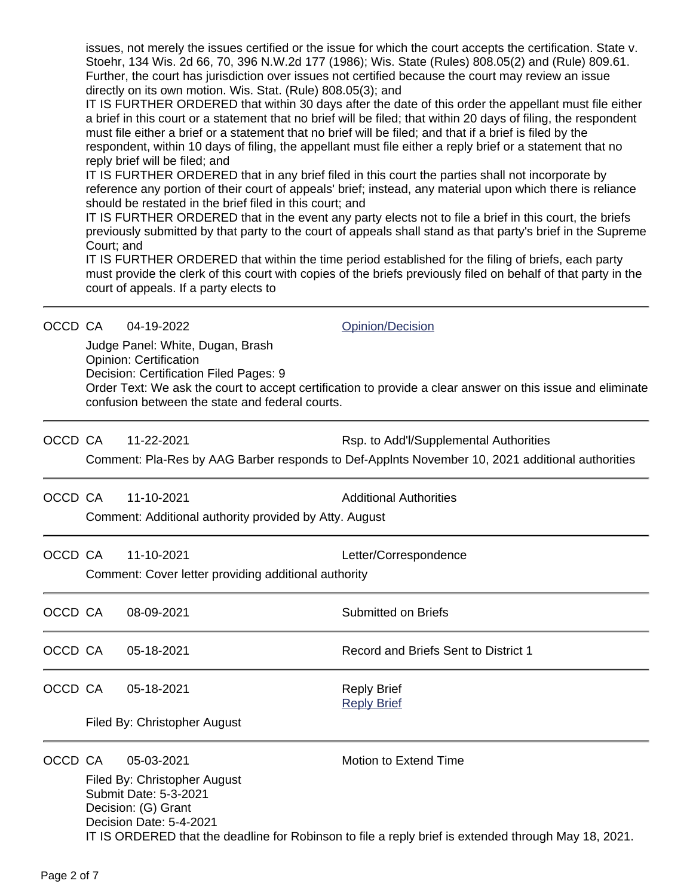issues, not merely the issues certified or the issue for which the court accepts the certification. State v. Stoehr, 134 Wis. 2d 66, 70, 396 N.W.2d 177 (1986); Wis. State (Rules) 808.05(2) and (Rule) 809.61. Further, the court has jurisdiction over issues not certified because the court may review an issue directly on its own motion. Wis. Stat. (Rule) 808.05(3); and

IT IS FURTHER ORDERED that within 30 days after the date of this order the appellant must file either a brief in this court or a statement that no brief will be filed; that within 20 days of filing, the respondent must file either a brief or a statement that no brief will be filed; and that if a brief is filed by the respondent, within 10 days of filing, the appellant must file either a reply brief or a statement that no reply brief will be filed; and

IT IS FURTHER ORDERED that in any brief filed in this court the parties shall not incorporate by reference any portion of their court of appeals' brief; instead, any material upon which there is reliance should be restated in the brief filed in this court; and

IT IS FURTHER ORDERED that in the event any party elects not to file a brief in this court, the briefs previously submitted by that party to the court of appeals shall stand as that party's brief in the Supreme Court; and

IT IS FURTHER ORDERED that within the time period established for the filing of briefs, each party must provide the clerk of this court with copies of the briefs previously filed on behalf of that party in the court of appeals. If a party elects to

| OCCD CA | 04-19-2022 |
|---------|------------|
|         |            |

[Opinion/Decision](http://www.wicourts.gov/other/appeals/cacert.jsp?docket_number=2020AP001728)

Judge Panel: White, Dugan, Brash Opinion: Certification

Decision: Certification Filed Pages: 9

Order Text: We ask the court to accept certification to provide a clear answer on this issue and eliminate confusion between the state and federal courts.

OCCD CA 11-22-2021 Rsp. to Add'l/Supplemental Authorities

Comment: Pla-Res by AAG Barber responds to Def-Applnts November 10, 2021 additional authorities

OCCD CA 11-10-2021 Additional Authorities

Comment: Additional authority provided by Atty. August

OCCD CA 11-10-2021 Letter/Correspondence

Comment: Cover letter providing additional authority

- OCCD CA 08-09-2021 Submitted on Briefs
- OCCD CA 05-18-2021 **Record and Briefs Sent to District 1**
- OCCD CA 05-18-2021 Reply Brief

[Reply Brief](https://acefiling.wicourts.gov/document/eFiled/2020AP001728/368865)

Filed By: Christopher August

OCCD CA 05-03-2021 Motion to Extend Time

Filed By: Christopher August Submit Date: 5-3-2021 Decision: (G) Grant Decision Date: 5-4-2021 IT IS ORDERED that the deadline for Robinson to file a reply brief is extended through May 18, 2021.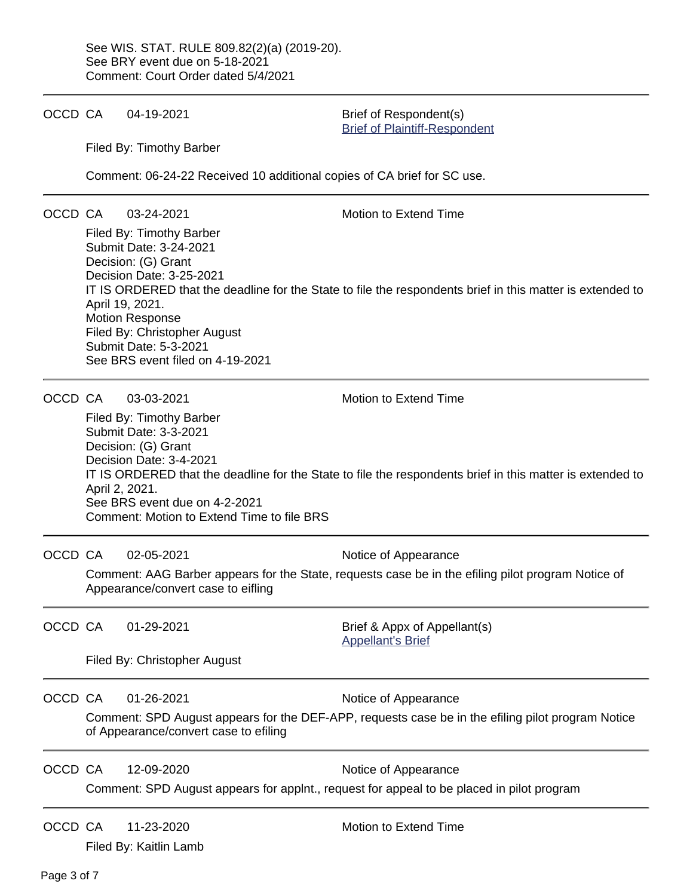OCCD CA 04-19-2021 Brief of Respondent(s)

[Brief of Plaintiff-Respondent](https://acefiling.wicourts.gov/document/eFiled/2020AP001728/359015)

Filed By: Timothy Barber

Comment: 06-24-22 Received 10 additional copies of CA brief for SC use.

OCCD CA 03-24-2021 Motion to Extend Time

Filed By: Timothy Barber Submit Date: 3-24-2021 Decision: (G) Grant Decision Date: 3-25-2021 IT IS ORDERED that the deadline for the State to file the respondents brief in this matter is extended to April 19, 2021. Motion Response Filed By: Christopher August Submit Date: 5-3-2021 See BRS event filed on 4-19-2021

OCCD CA 03-03-2021 Motion to Extend Time

Filed By: Timothy Barber Submit Date: 3-3-2021 Decision: (G) Grant Decision Date: 3-4-2021 IT IS ORDERED that the deadline for the State to file the respondents brief in this matter is extended to April 2, 2021. See BRS event due on 4-2-2021 Comment: Motion to Extend Time to file BRS

OCCD CA 02-05-2021 Notice of Appearance

Comment: AAG Barber appears for the State, requests case be in the efiling pilot program Notice of Appearance/convert case to eifling

OCCD CA 01-29-2021 Brief & Appx of Appellant(s) [Appellant's Brief](https://acefiling.wicourts.gov/document/eFiled/2020AP001728/331790)

Filed By: Christopher August

OCCD CA 01-26-2021 Notice of Appearance

Comment: SPD August appears for the DEF-APP, requests case be in the efiling pilot program Notice of Appearance/convert case to efiling

OCCD CA 12-09-2020 Notice of Appearance

Comment: SPD August appears for applnt., request for appeal to be placed in pilot program

OCCD CA 11-23-2020 Motion to Extend Time

Filed By: Kaitlin Lamb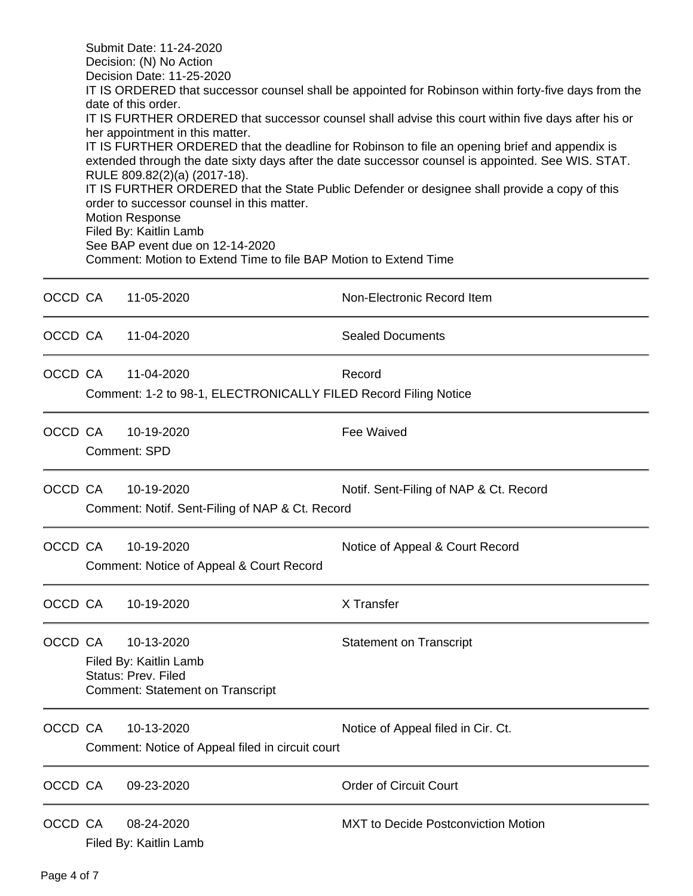|         | Submit Date: 11-24-2020<br>Decision: (N) No Action<br>Decision Date: 11-25-2020<br>IT IS ORDERED that successor counsel shall be appointed for Robinson within forty-five days from the<br>date of this order.<br>IT IS FURTHER ORDERED that successor counsel shall advise this court within five days after his or<br>her appointment in this matter.<br>IT IS FURTHER ORDERED that the deadline for Robinson to file an opening brief and appendix is<br>extended through the date sixty days after the date successor counsel is appointed. See WIS. STAT.<br>RULE 809.82(2)(a) (2017-18).<br>IT IS FURTHER ORDERED that the State Public Defender or designee shall provide a copy of this<br>order to successor counsel in this matter.<br><b>Motion Response</b><br>Filed By: Kaitlin Lamb<br>See BAP event due on 12-14-2020<br>Comment: Motion to Extend Time to file BAP Motion to Extend Time |                                                                                                         |                                            |  |  |  |
|---------|----------------------------------------------------------------------------------------------------------------------------------------------------------------------------------------------------------------------------------------------------------------------------------------------------------------------------------------------------------------------------------------------------------------------------------------------------------------------------------------------------------------------------------------------------------------------------------------------------------------------------------------------------------------------------------------------------------------------------------------------------------------------------------------------------------------------------------------------------------------------------------------------------------|---------------------------------------------------------------------------------------------------------|--------------------------------------------|--|--|--|
| OCCD CA |                                                                                                                                                                                                                                                                                                                                                                                                                                                                                                                                                                                                                                                                                                                                                                                                                                                                                                          | 11-05-2020                                                                                              | Non-Electronic Record Item                 |  |  |  |
| OCCD CA |                                                                                                                                                                                                                                                                                                                                                                                                                                                                                                                                                                                                                                                                                                                                                                                                                                                                                                          | 11-04-2020                                                                                              | <b>Sealed Documents</b>                    |  |  |  |
| OCCD CA | 11-04-2020<br>Record<br>Comment: 1-2 to 98-1, ELECTRONICALLY FILED Record Filing Notice                                                                                                                                                                                                                                                                                                                                                                                                                                                                                                                                                                                                                                                                                                                                                                                                                  |                                                                                                         |                                            |  |  |  |
| OCCD CA |                                                                                                                                                                                                                                                                                                                                                                                                                                                                                                                                                                                                                                                                                                                                                                                                                                                                                                          | 10-19-2020<br>Comment: SPD                                                                              | <b>Fee Waived</b>                          |  |  |  |
| OCCD CA |                                                                                                                                                                                                                                                                                                                                                                                                                                                                                                                                                                                                                                                                                                                                                                                                                                                                                                          | 10-19-2020<br>Notif. Sent-Filing of NAP & Ct. Record<br>Comment: Notif. Sent-Filing of NAP & Ct. Record |                                            |  |  |  |
| OCCD CA |                                                                                                                                                                                                                                                                                                                                                                                                                                                                                                                                                                                                                                                                                                                                                                                                                                                                                                          | 10-19-2020<br>Comment: Notice of Appeal & Court Record                                                  | Notice of Appeal & Court Record            |  |  |  |
| OCCD CA |                                                                                                                                                                                                                                                                                                                                                                                                                                                                                                                                                                                                                                                                                                                                                                                                                                                                                                          | 10-19-2020                                                                                              | X Transfer                                 |  |  |  |
| OCCD CA | 10-13-2020<br><b>Statement on Transcript</b><br>Filed By: Kaitlin Lamb<br><b>Status: Prev. Filed</b><br><b>Comment: Statement on Transcript</b>                                                                                                                                                                                                                                                                                                                                                                                                                                                                                                                                                                                                                                                                                                                                                          |                                                                                                         |                                            |  |  |  |
| OCCD CA |                                                                                                                                                                                                                                                                                                                                                                                                                                                                                                                                                                                                                                                                                                                                                                                                                                                                                                          | 10-13-2020<br>Comment: Notice of Appeal filed in circuit court                                          | Notice of Appeal filed in Cir. Ct.         |  |  |  |
| OCCD CA |                                                                                                                                                                                                                                                                                                                                                                                                                                                                                                                                                                                                                                                                                                                                                                                                                                                                                                          | 09-23-2020                                                                                              | <b>Order of Circuit Court</b>              |  |  |  |
| OCCD CA |                                                                                                                                                                                                                                                                                                                                                                                                                                                                                                                                                                                                                                                                                                                                                                                                                                                                                                          | 08-24-2020<br>Filed By: Kaitlin Lamb                                                                    | <b>MXT</b> to Decide Postconviction Motion |  |  |  |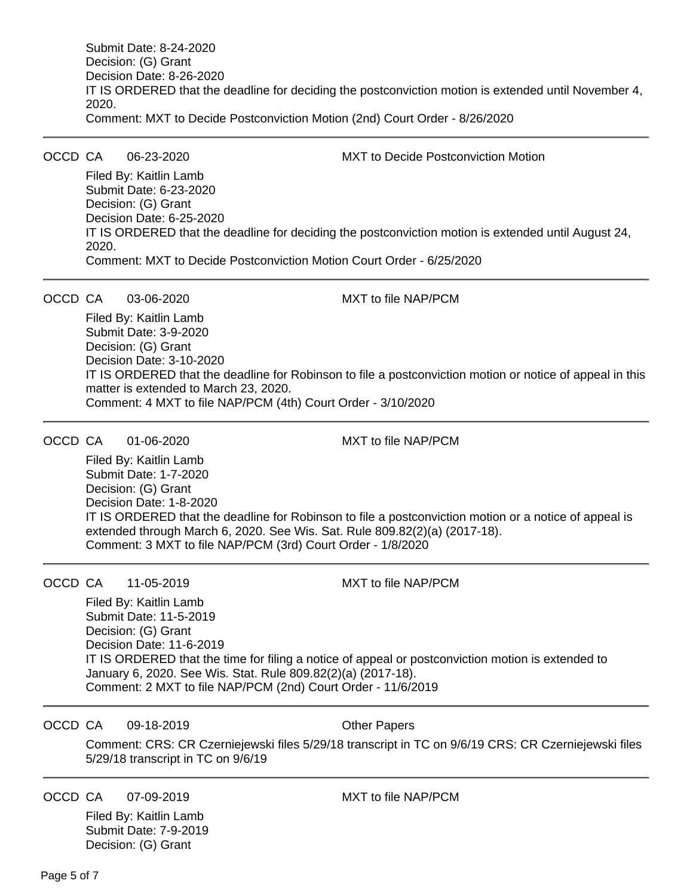Submit Date: 8-24-2020 Decision: (G) Grant Decision Date: 8-26-2020 IT IS ORDERED that the deadline for deciding the postconviction motion is extended until November 4, 2020. Comment: MXT to Decide Postconviction Motion (2nd) Court Order - 8/26/2020

OCCD CA 06-23-2020 MXT to Decide Postconviction Motion

Filed By: Kaitlin Lamb Submit Date: 6-23-2020 Decision: (G) Grant Decision Date: 6-25-2020 IT IS ORDERED that the deadline for deciding the postconviction motion is extended until August 24, 2020. Comment: MXT to Decide Postconviction Motion Court Order - 6/25/2020

OCCD CA 03-06-2020 MXT to file NAP/PCM

Filed By: Kaitlin Lamb Submit Date: 3-9-2020 Decision: (G) Grant Decision Date: 3-10-2020 IT IS ORDERED that the deadline for Robinson to file a postconviction motion or notice of appeal in this matter is extended to March 23, 2020. Comment: 4 MXT to file NAP/PCM (4th) Court Order - 3/10/2020

OCCD CA 01-06-2020 MXT to file NAP/PCM

Filed By: Kaitlin Lamb Submit Date: 1-7-2020 Decision: (G) Grant Decision Date: 1-8-2020 IT IS ORDERED that the deadline for Robinson to file a postconviction motion or a notice of appeal is extended through March 6, 2020. See Wis. Sat. Rule 809.82(2)(a) (2017-18). Comment: 3 MXT to file NAP/PCM (3rd) Court Order - 1/8/2020

OCCD CA 11-05-2019 MXT to file NAP/PCM

Filed By: Kaitlin Lamb Submit Date: 11-5-2019 Decision: (G) Grant Decision Date: 11-6-2019 IT IS ORDERED that the time for filing a notice of appeal or postconviction motion is extended to January 6, 2020. See Wis. Stat. Rule 809.82(2)(a) (2017-18). Comment: 2 MXT to file NAP/PCM (2nd) Court Order - 11/6/2019

OCCD CA 09-18-2019 Cher Papers

Comment: CRS: CR Czerniejewski files 5/29/18 transcript in TC on 9/6/19 CRS: CR Czerniejewski files 5/29/18 transcript in TC on 9/6/19

OCCD CA 07-09-2019 MXT to file NAP/PCM

Filed By: Kaitlin Lamb Submit Date: 7-9-2019 Decision: (G) Grant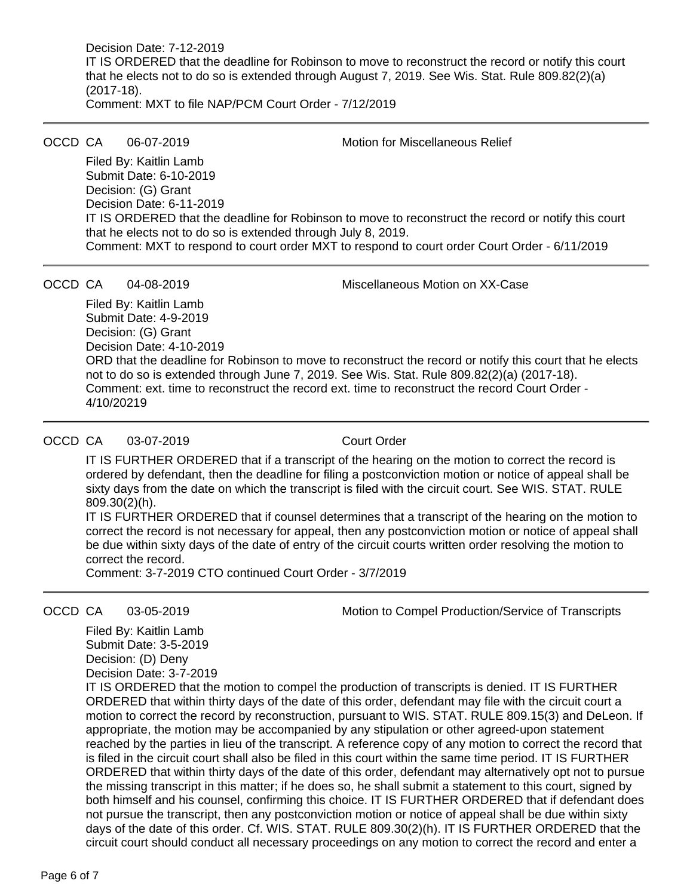Decision Date: 7-12-2019 IT IS ORDERED that the deadline for Robinson to move to reconstruct the record or notify this court that he elects not to do so is extended through August 7, 2019. See Wis. Stat. Rule 809.82(2)(a) (2017-18). Comment: MXT to file NAP/PCM Court Order - 7/12/2019

OCCD CA 06-07-2019 Motion for Miscellaneous Relief

Filed By: Kaitlin Lamb Submit Date: 6-10-2019 Decision: (G) Grant Decision Date: 6-11-2019 IT IS ORDERED that the deadline for Robinson to move to reconstruct the record or notify this court that he elects not to do so is extended through July 8, 2019. Comment: MXT to respond to court order MXT to respond to court order Court Order - 6/11/2019

OCCD CA 04-08-2019 Miscellaneous Motion on XX-Case

Filed By: Kaitlin Lamb Submit Date: 4-9-2019 Decision: (G) Grant Decision Date: 4-10-2019 ORD that the deadline for Robinson to move to reconstruct the record or notify this court that he elects not to do so is extended through June 7, 2019. See Wis. Stat. Rule 809.82(2)(a) (2017-18). Comment: ext. time to reconstruct the record ext. time to reconstruct the record Court Order - 4/10/20219

## OCCD CA 03-07-2019 Court Order

IT IS FURTHER ORDERED that if a transcript of the hearing on the motion to correct the record is ordered by defendant, then the deadline for filing a postconviction motion or notice of appeal shall be sixty days from the date on which the transcript is filed with the circuit court. See WIS. STAT. RULE 809.30(2)(h).

IT IS FURTHER ORDERED that if counsel determines that a transcript of the hearing on the motion to correct the record is not necessary for appeal, then any postconviction motion or notice of appeal shall be due within sixty days of the date of entry of the circuit courts written order resolving the motion to correct the record.

Comment: 3-7-2019 CTO continued Court Order - 3/7/2019

OCCD CA 03-05-2019 Motion to Compel Production/Service of Transcripts

Filed By: Kaitlin Lamb Submit Date: 3-5-2019 Decision: (D) Deny Decision Date: 3-7-2019

IT IS ORDERED that the motion to compel the production of transcripts is denied. IT IS FURTHER ORDERED that within thirty days of the date of this order, defendant may file with the circuit court a motion to correct the record by reconstruction, pursuant to WIS. STAT. RULE 809.15(3) and DeLeon. If appropriate, the motion may be accompanied by any stipulation or other agreed-upon statement reached by the parties in lieu of the transcript. A reference copy of any motion to correct the record that is filed in the circuit court shall also be filed in this court within the same time period. IT IS FURTHER ORDERED that within thirty days of the date of this order, defendant may alternatively opt not to pursue the missing transcript in this matter; if he does so, he shall submit a statement to this court, signed by both himself and his counsel, confirming this choice. IT IS FURTHER ORDERED that if defendant does not pursue the transcript, then any postconviction motion or notice of appeal shall be due within sixty days of the date of this order. Cf. WIS. STAT. RULE 809.30(2)(h). IT IS FURTHER ORDERED that the circuit court should conduct all necessary proceedings on any motion to correct the record and enter a